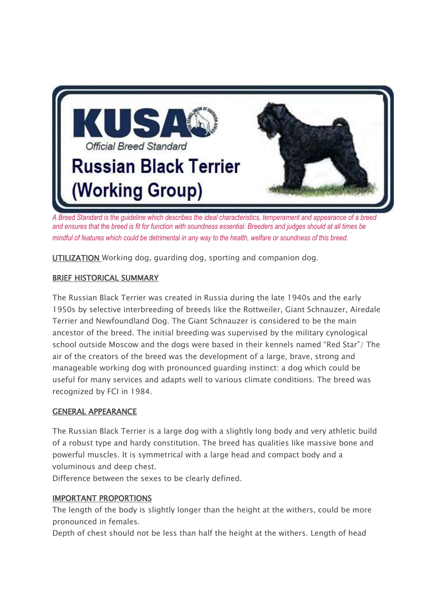

*A Breed Standard is the guideline which describes the ideal characteristics, temperament and appearance of a breed and ensures that the breed is fit for function with soundness essential. Breeders and judges should at all times be mindful of features which could be detrimental in any way to the health, welfare or soundness of this breed.*

UTILIZATION Working dog, guarding dog, sporting and companion dog.

#### BRIEF HISTORICAL SUMMARY

The Russian Black Terrier was created in Russia during the late 1940s and the early 1950s by selective interbreeding of breeds like the Rottweiler, Giant Schnauzer, Airedale Terrier and Newfoundland Dog. The Giant Schnauzer is considered to be the main ancestor of the breed. The initial breeding was supervised by the military cynological school outside Moscow and the dogs were based in their kennels named "Red Star"/ The air of the creators of the breed was the development of a large, brave, strong and manageable working dog with pronounced guarding instinct: a dog which could be useful for many services and adapts well to various climate conditions. The breed was recognized by FCI in 1984.

#### GENERAL APPEARANCE

The Russian Black Terrier is a large dog with a slightly long body and very athletic build of a robust type and hardy constitution. The breed has qualities like massive bone and powerful muscles. It is symmetrical with a large head and compact body and a voluminous and deep chest.

Difference between the sexes to be clearly defined.

#### IMPORTANT PROPORTIONS

The length of the body is slightly longer than the height at the withers, could be more pronounced in females.

Depth of chest should not be less than half the height at the withers. Length of head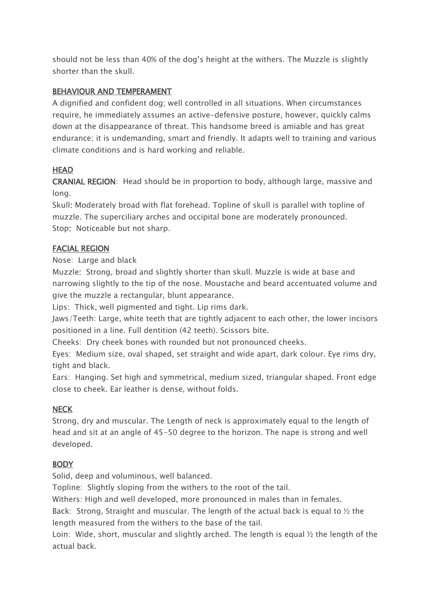should not be less than 40% of the dog's height at the withers. The Muzzle is slightly shorter than the skull.

#### BEHAVIOUR AND TEMPERAMENT

A dignified and confident dog; well controlled in all situations. When circumstances require, he immediately assumes an active-defensive posture, however, quickly calms down at the disappearance of threat. This handsome breed is amiable and has great endurance; it is undemanding, smart and friendly. It adapts well to training and various climate conditions and is hard working and reliable.

### **HEAD**

CRANIAL REGION: Head should be in proportion to body, although large, massive and long.

Skull: Moderately broad with flat forehead. Topline of skull is parallel with topline of muzzle. The superciliary arches and occipital bone are moderately pronounced. Stop: Noticeable but not sharp.

#### FACIAL REGION

Nose: Large and black

Muzzle: Strong, broad and slightly shorter than skull. Muzzle is wide at base and narrowing slightly to the tip of the nose. Moustache and beard accentuated volume and give the muzzle a rectangular, blunt appearance.

Lips: Thick, well pigmented and tight. Lip rims dark.

Jaws/Teeth: Large, white teeth that are tightly adjacent to each other, the lower incisors positioned in a line. Full dentition (42 teeth). Scissors bite.

Cheeks: Dry cheek bones with rounded but not pronounced cheeks.

Eyes: Medium size, oval shaped, set straight and wide apart, dark colour. Eye rims dry, tight and black.

Ears: Hanging. Set high and symmetrical, medium sized, triangular shaped. Front edge close to cheek. Ear leather is dense, without folds.

### **NECK**

Strong, dry and muscular. The Length of neck is approximately equal to the length of head and sit at an angle of 45-50 degree to the horizon. The nape is strong and well developed.

### **BODY**

Solid, deep and voluminous, well balanced.

Topline: Slightly sloping from the withers to the root of the tail.

Withers: High and well developed, more pronounced in males than in females.

Back: Strong, Straight and muscular. The length of the actual back is equal to  $\frac{1}{2}$  the length measured from the withers to the base of the tail.

Loin: Wide, short, muscular and slightly arched. The length is equal  $\frac{1}{2}$  the length of the actual back.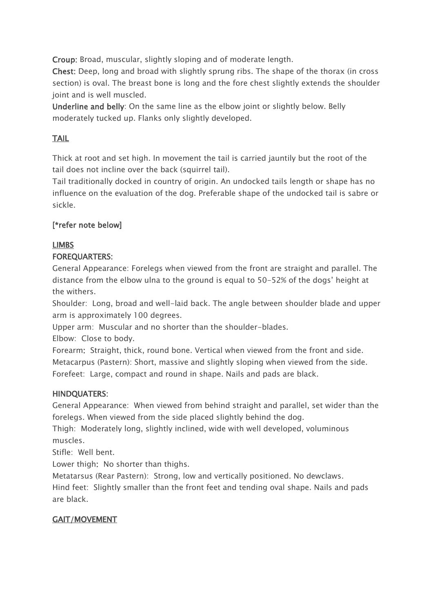Croup: Broad, muscular, slightly sloping and of moderate length.

Chest: Deep, long and broad with slightly sprung ribs. The shape of the thorax (in cross section) is oval. The breast bone is long and the fore chest slightly extends the shoulder joint and is well muscled.

Underline and belly: On the same line as the elbow joint or slightly below. Belly moderately tucked up. Flanks only slightly developed.

# TAIL

Thick at root and set high. In movement the tail is carried jauntily but the root of the tail does not incline over the back (squirrel tail).

Tail traditionally docked in country of origin. An undocked tails length or shape has no influence on the evaluation of the dog. Preferable shape of the undocked tail is sabre or sickle.

# [\*refer note below]

# LIMBS

### FOREQUARTERS:

General Appearance: Forelegs when viewed from the front are straight and parallel. The distance from the elbow ulna to the ground is equal to 50-52% of the dogs' height at the withers.

Shoulder: Long, broad and well-laid back. The angle between shoulder blade and upper arm is approximately 100 degrees.

Upper arm: Muscular and no shorter than the shoulder-blades.

Elbow: Close to body.

Forearm: Straight, thick, round bone. Vertical when viewed from the front and side. Metacarpus (Pastern): Short, massive and slightly sloping when viewed from the side. Forefeet: Large, compact and round in shape. Nails and pads are black.

### HINDQUATERS:

General Appearance: When viewed from behind straight and parallel, set wider than the forelegs. When viewed from the side placed slightly behind the dog.

Thigh: Moderately long, slightly inclined, wide with well developed, voluminous muscles.

Stifle: Well bent.

Lower thigh: No shorter than thighs.

Metatarsus (Rear Pastern): Strong, low and vertically positioned. No dewclaws.

Hind feet: Slightly smaller than the front feet and tending oval shape. Nails and pads are black.

# GAIT/MOVEMENT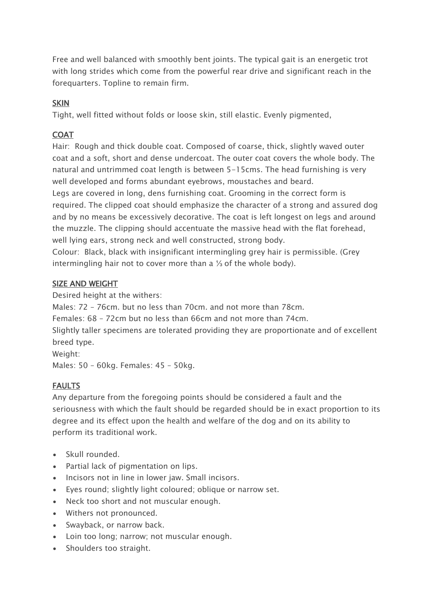Free and well balanced with smoothly bent joints. The typical gait is an energetic trot with long strides which come from the powerful rear drive and significant reach in the forequarters. Topline to remain firm.

### **SKIN**

Tight, well fitted without folds or loose skin, still elastic. Evenly pigmented,

# COAT

Hair: Rough and thick double coat. Composed of coarse, thick, slightly waved outer coat and a soft, short and dense undercoat. The outer coat covers the whole body. The natural and untrimmed coat length is between 5-15cms. The head furnishing is very well developed and forms abundant eyebrows, moustaches and beard.

Legs are covered in long, dens furnishing coat. Grooming in the correct form is required. The clipped coat should emphasize the character of a strong and assured dog and by no means be excessively decorative. The coat is left longest on legs and around the muzzle. The clipping should accentuate the massive head with the flat forehead, well lying ears, strong neck and well constructed, strong body.

Colour: Black, black with insignificant intermingling grey hair is permissible. (Grey intermingling hair not to cover more than a ⅓ of the whole body).

### SIZE AND WEIGHT

Desired height at the withers:

Males: 72 – 76cm. but no less than 70cm. and not more than 78cm.

Females: 68 – 72cm but no less than 66cm and not more than 74cm.

Slightly taller specimens are tolerated providing they are proportionate and of excellent breed type.

Weight:

Males: 50 – 60kg. Females: 45 – 50kg.

# FAULTS

Any departure from the foregoing points should be considered a fault and the seriousness with which the fault should be regarded should be in exact proportion to its degree and its effect upon the health and welfare of the dog and on its ability to perform its traditional work.

- Skull rounded.
- Partial lack of pigmentation on lips.
- Incisors not in line in lower jaw. Small incisors.
- Eyes round; slightly light coloured; oblique or narrow set.
- Neck too short and not muscular enough.
- Withers not pronounced.
- Swayback, or narrow back.
- Loin too long; narrow; not muscular enough.
- Shoulders too straight.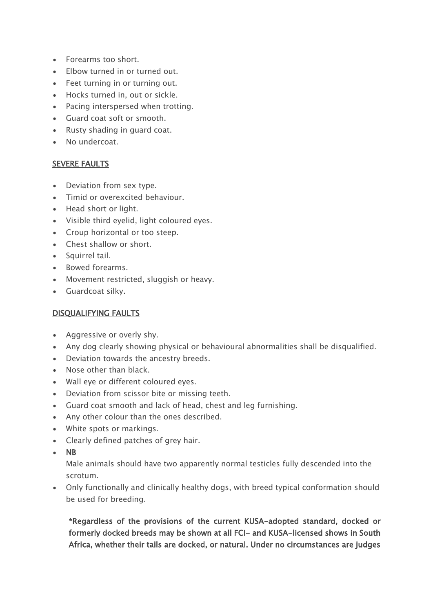- Forearms too short.
- Elbow turned in or turned out.
- Feet turning in or turning out.
- Hocks turned in, out or sickle.
- Pacing interspersed when trotting.
- Guard coat soft or smooth.
- Rusty shading in guard coat.
- No undercoat.

#### SEVERE FAULTS

- Deviation from sex type.
- Timid or overexcited behaviour.
- Head short or light.
- Visible third eyelid, light coloured eyes.
- Croup horizontal or too steep.
- Chest shallow or short.
- Squirrel tail.
- Bowed forearms.
- Movement restricted, sluggish or heavy.
- Guardcoat silky.

### DISQUALIFYING FAULTS

- Aggressive or overly shy.
- Any dog clearly showing physical or behavioural abnormalities shall be disqualified.
- Deviation towards the ancestry breeds.
- Nose other than black.
- Wall eye or different coloured eyes.
- Deviation from scissor bite or missing teeth.
- Guard coat smooth and lack of head, chest and leg furnishing.
- Any other colour than the ones described.
- White spots or markings.
- Clearly defined patches of grey hair.
- NB

Male animals should have two apparently normal testicles fully descended into the scrotum.

 Only functionally and clinically healthy dogs, with breed typical conformation should be used for breeding.

\*Regardless of the provisions of the current KUSA-adopted standard, docked or formerly docked breeds may be shown at all FCI- and KUSA-licensed shows in South Africa, whether their tails are docked, or natural. Under no circumstances are judges